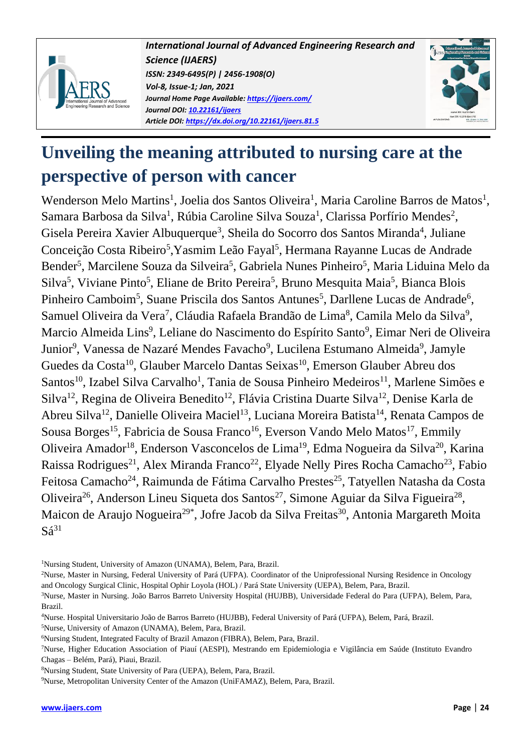

*International Journal of Advanced Engineering Research and Science (IJAERS) ISSN: 2349-6495(P) | 2456-1908(O) Vol-8, Issue-1; Jan, 2021 Journal Home Page Available: <https://ijaers.com/> Journal DOI: 10.22161/ijaers Article DOI: <https://dx.doi.org/10.22161/ijaers.81.5>*



# **Unveiling the meaning attributed to nursing care at the perspective of person with cancer**

Wenderson Melo Martins<sup>1</sup>, Joelia dos Santos Oliveira<sup>1</sup>, Maria Caroline Barros de Matos<sup>1</sup>, Samara Barbosa da Silva<sup>1</sup>, Rúbia Caroline Silva Souza<sup>1</sup>, Clarissa Porfírio Mendes<sup>2</sup>, Gisela Pereira Xavier Albuquerque<sup>3</sup>, Sheila do Socorro dos Santos Miranda<sup>4</sup>, Juliane Conceição Costa Ribeiro<sup>5</sup>, Yasmim Leão Fayal<sup>5</sup>, Hermana Rayanne Lucas de Andrade Bender<sup>5</sup>, Marcilene Souza da Silveira<sup>5</sup>, Gabriela Nunes Pinheiro<sup>5</sup>, Maria Liduina Melo da Silva<sup>5</sup>, Viviane Pinto<sup>5</sup>, Eliane de Brito Pereira<sup>5</sup>, Bruno Mesquita Maia<sup>5</sup>, Bianca Blois Pinheiro Camboim<sup>5</sup>, Suane Priscila dos Santos Antunes<sup>5</sup>, Darllene Lucas de Andrade<sup>6</sup>, Samuel Oliveira da Vera<sup>7</sup>, Cláudia Rafaela Brandão de Lima<sup>8</sup>, Camila Melo da Silva<sup>9</sup>, Marcio Almeida Lins<sup>9</sup>, Leliane do Nascimento do Espírito Santo<sup>9</sup>, Eimar Neri de Oliveira Junior<sup>9</sup>, Vanessa de Nazaré Mendes Favacho<sup>9</sup>, Lucilena Estumano Almeida<sup>9</sup>, Jamyle Guedes da Costa<sup>10</sup>, Glauber Marcelo Dantas Seixas<sup>10</sup>, Emerson Glauber Abreu dos Santos<sup>10</sup>, Izabel Silva Carvalho<sup>1</sup>, Tania de Sousa Pinheiro Medeiros<sup>11</sup>, Marlene Simões e Silva<sup>12</sup>, Regina de Oliveira Benedito<sup>12</sup>, Flávia Cristina Duarte Silva<sup>12</sup>, Denise Karla de Abreu Silva<sup>12</sup>, Danielle Oliveira Maciel<sup>13</sup>, Luciana Moreira Batista<sup>14</sup>, Renata Campos de Sousa Borges<sup>15</sup>, Fabricia de Sousa Franco<sup>16</sup>, Everson Vando Melo Matos<sup>17</sup>, Emmily Oliveira Amador<sup>18</sup>, Enderson Vasconcelos de Lima<sup>19</sup>, Edma Nogueira da Silva<sup>20</sup>, Karina Raissa Rodrigues<sup>21</sup>, Alex Miranda Franco<sup>22</sup>, Elyade Nelly Pires Rocha Camacho<sup>23</sup>, Fabio Feitosa Camacho<sup>24</sup>, Raimunda de Fátima Carvalho Prestes<sup>25</sup>, Tatyellen Natasha da Costa Oliveira<sup>26</sup>, Anderson Lineu Siqueta dos Santos<sup>27</sup>, Simone Aguiar da Silva Figueira<sup>28</sup>, Maicon de Araujo Nogueira<sup>29\*</sup>, Jofre Jacob da Silva Freitas<sup>30</sup>, Antonia Margareth Moita  $S\acute{a}^{31}$ 

<sup>1</sup>Nursing Student, University of Amazon (UNAMA), Belem, Para, Brazil.

<sup>2</sup>Nurse, Master in Nursing, Federal University of Pará (UFPA). Coordinator of the Uniprofessional Nursing Residence in Oncology and Oncology Surgical Clinic, Hospital Ophir Loyola (HOL) / Pará State University (UEPA), Belem, Para, Brazil.

<sup>3</sup>Nurse, Master in Nursing. João Barros Barreto University Hospital (HUJBB), Universidade Federal do Para (UFPA), Belem, Para, Brazil.

<sup>4</sup>Nurse. Hospital Universitario João de Barros Barreto (HUJBB), Federal University of Pará (UFPA), Belem, Pará, Brazil.

<sup>5</sup>Nurse, University of Amazon (UNAMA), Belem, Para, Brazil.

<sup>6</sup>Nursing Student, Integrated Faculty of Brazil Amazon (FIBRA), Belem, Para, Brazil.

<sup>7</sup>Nurse, Higher Education Association of Piauí (AESPI), Mestrando em Epidemiologia e Vigilância em Saúde (Instituto Evandro Chagas – Belém, Pará), Piaui, Brazil.

<sup>8</sup>Nursing Student, State University of Para (UEPA), Belem, Para, Brazil.

<sup>9</sup>Nurse, Metropolitan University Center of the Amazon (UniFAMAZ), Belem, Para, Brazil.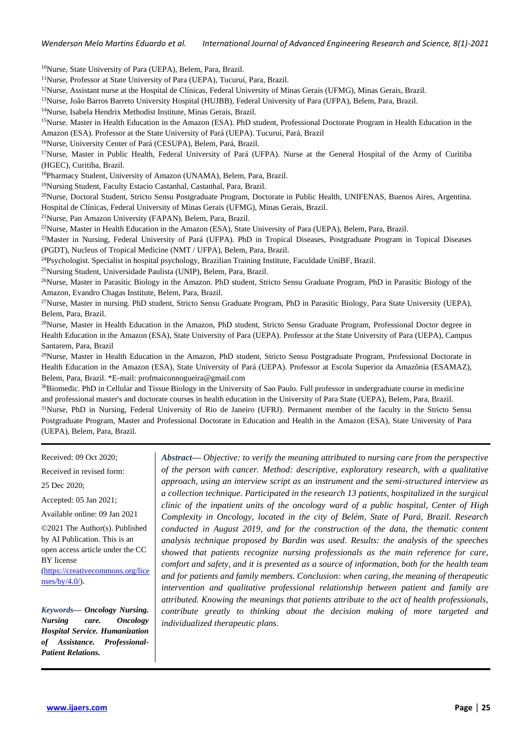*Wenderson Melo Martins Eduardo et al. International Journal of Advanced Engineering Research and Science, 8(1)-2021*

<sup>10</sup>Nurse, State University of Para (UEPA), Belem, Para, Brazil.

<sup>11</sup>Nurse, Professor at State University of Para (UEPA), Tucuruí, Para, Brazil.

 $12$ Nurse, Assistant nurse at the Hospital de Clínicas, Federal University of Minas Gerais (UFMG), Minas Gerais, Brazil.

<sup>13</sup>Nurse, João Barros Barreto University Hospital (HUJBB), Federal University of Para (UFPA), Belem, Para, Brazil.

<sup>14</sup>Nurse, Isabela Hendrix Methodist Institute, Minas Gerais, Brazil.

<sup>15</sup>Nurse. Master in Health Education in the Amazon (ESA). PhD student, Professional Doctorate Program in Health Education in the Amazon (ESA). Professor at the State University of Pará (UEPA). Tucuruí, Pará, Brazil

<sup>16</sup>Nurse, University Center of Pará (CESUPA), Belem, Pará, Brazil.

<sup>17</sup>Nurse, Master in Public Health, Federal University of Pará (UFPA). Nurse at the General Hospital of the Army of Curitiba (HGEC), Curitiba, Brazil.

<sup>18</sup>Pharmacy Student, University of Amazon (UNAMA), Belem, Para, Brazil.

<sup>19</sup>Nursing Student, Faculty Estacio Castanhal, Castanhal, Para, Brazil.

<sup>20</sup>Nurse, Doctoral Student, Stricto Sensu Postgraduate Program, Doctorate in Public Health, UNIFENAS, Buenos Aires, Argentina. Hospital de Clínicas, Federal University of Minas Gerais (UFMG), Minas Gerais, Brazil.

<sup>21</sup>Nurse, Pan Amazon University (FAPAN), Belem, Para, Brazil.

<sup>22</sup>Nurse, Master in Health Education in the Amazon (ESA), State University of Para (UEPA), Belem, Para, Brazil.

<sup>23</sup>Master in Nursing, Federal University of Pará (UFPA). PhD in Tropical Diseases, Postgraduate Program in Topical Diseases (PGDT), Nucleus of Tropical Medicine (NMT / UFPA), Belem, Para, Brazil.

<sup>24</sup>Psychologist. Specialist in hospital psychology, Brazilian Training Institute, Faculdade UniBF, Brazil.

<sup>25</sup>Nursing Student, Universidade Paulista (UNIP), Belem, Para, Brazil.

<sup>26</sup>Nurse, Master in Parasitic Biology in the Amazon. PhD student, Stricto Sensu Graduate Program, PhD in Parasitic Biology of the Amazon, Evandro Chagas Institute, Belem, Para, Brazil.

<sup>27</sup>Nurse, Master in nursing. PhD student, Stricto Sensu Graduate Program, PhD in Parasitic Biology, Para State University (UEPA), Belem, Para, Brazil.

<sup>28</sup>Nurse, Master in Health Education in the Amazon, PhD student, Stricto Sensu Graduate Program, Professional Doctor degree in Health Education in the Amazon (ESA), State University of Para (UEPA). Professor at the State University of Para (UEPA), Campus Santarem, Para, Brazil

<sup>29</sup>Nurse, Master in Health Education in the Amazon, PhD student, Stricto Sensu Postgraduate Program, Professional Doctorate in Health Education in the Amazon (ESA), State University of Pará (UEPA). Professor at Escola Superior da Amazônia (ESAMAZ), Belem, Para, Brazil. \*E-mail: profmaiconnogueira@gmail.com

<sup>30</sup>Biomedic. PhD in Cellular and Tissue Biology in the University of Sao Paulo. Full professor in undergraduate course in medicine and professional master's and doctorate courses in health education in the University of Para State (UEPA), Belem, Para, Brazil. <sup>31</sup>Nurse, PhD in Nursing, Federal University of Rio de Janeiro (UFRJ). Permanent member of the faculty in the Stricto Sensu Postgraduate Program, Master and Professional Doctorate in Education and Health in the Amazon (ESA), State University of Para

(UEPA), Belem, Para, Brazil.

Received: 09 Oct 2020;

Received in revised form:

25 Dec 2020;

Accepted: 05 Jan 2021;

Available online: 09 Jan 2021

©2021 The Author(s). Published by AI Publication. This is an open access article under the CC BY license [\(https://creativecommons.org/lice](https://creativecommons.org/licenses/by/4.0/)  $nses/by/4.0/$ ).

*Keywords***—** *Oncology Nursing. Nursing care. Oncology Hospital Service. Humanization of Assistance. Professional-Patient Relations.*

*Abstract***—** *Objective: to verify the meaning attributed to nursing care from the perspective of the person with cancer. Method: descriptive, exploratory research, with a qualitative approach, using an interview script as an instrument and the semi-structured interview as a collection technique. Participated in the research 13 patients, hospitalized in the surgical clinic of the inpatient units of the oncology ward of a public hospital, Center of High Complexity in Oncology, located in the city of Belém, State of Pará, Brazil. Research conducted in August 2019, and for the construction of the data, the thematic content analysis technique proposed by Bardin was used. Results: the analysis of the speeches showed that patients recognize nursing professionals as the main reference for care, comfort and safety, and it is presented as a source of information, both for the health team and for patients and family members. Conclusion: when caring, the meaning of therapeutic intervention and qualitative professional relationship between patient and family are attributed. Knowing the meanings that patients attribute to the act of health professionals, contribute greatly to thinking about the decision making of more targeted and individualized therapeutic plans.*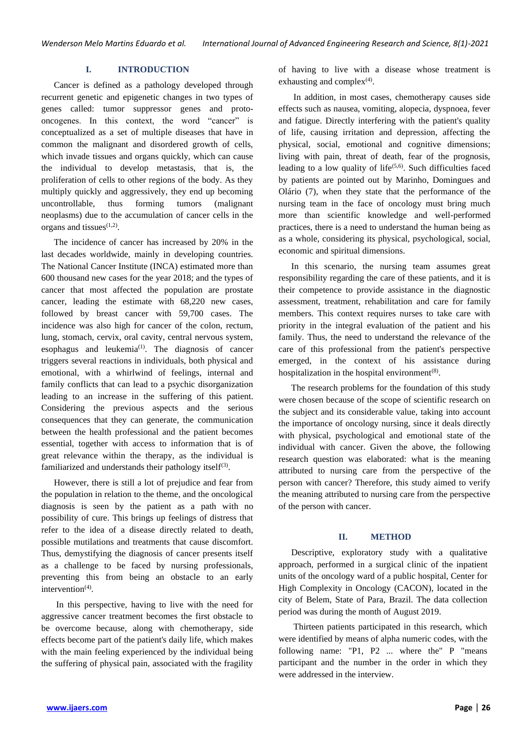#### **I. INTRODUCTION**

Cancer is defined as a pathology developed through recurrent genetic and epigenetic changes in two types of genes called: tumor suppressor genes and protooncogenes. In this context, the word "cancer" is conceptualized as a set of multiple diseases that have in common the malignant and disordered growth of cells, which invade tissues and organs quickly, which can cause the individual to develop metastasis, that is, the proliferation of cells to other regions of the body. As they multiply quickly and aggressively, they end up becoming uncontrollable, thus forming tumors (malignant neoplasms) due to the accumulation of cancer cells in the organs and tissues $(1,2)$ .

The incidence of cancer has increased by 20% in the last decades worldwide, mainly in developing countries. The National Cancer Institute (INCA) estimated more than 600 thousand new cases for the year 2018; and the types of cancer that most affected the population are prostate cancer, leading the estimate with 68,220 new cases, followed by breast cancer with 59,700 cases. The incidence was also high for cancer of the colon, rectum, lung, stomach, cervix, oral cavity, central nervous system, esophagus and leukemia<sup> $(1)$ </sup>. The diagnosis of cancer triggers several reactions in individuals, both physical and emotional, with a whirlwind of feelings, internal and family conflicts that can lead to a psychic disorganization leading to an increase in the suffering of this patient. Considering the previous aspects and the serious consequences that they can generate, the communication between the health professional and the patient becomes essential, together with access to information that is of great relevance within the therapy, as the individual is familiarized and understands their pathology itself<sup>(3)</sup>.

However, there is still a lot of prejudice and fear from the population in relation to the theme, and the oncological diagnosis is seen by the patient as a path with no possibility of cure. This brings up feelings of distress that refer to the idea of a disease directly related to death, possible mutilations and treatments that cause discomfort. Thus, demystifying the diagnosis of cancer presents itself as a challenge to be faced by nursing professionals, preventing this from being an obstacle to an early intervention $(4)$ .

In this perspective, having to live with the need for aggressive cancer treatment becomes the first obstacle to be overcome because, along with chemotherapy, side effects become part of the patient's daily life, which makes with the main feeling experienced by the individual being the suffering of physical pain, associated with the fragility of having to live with a disease whose treatment is exhausting and complex $(4)$ .

In addition, in most cases, chemotherapy causes side effects such as nausea, vomiting, alopecia, dyspnoea, fever and fatigue. Directly interfering with the patient's quality of life, causing irritation and depression, affecting the physical, social, emotional and cognitive dimensions; living with pain, threat of death, fear of the prognosis, leading to a low quality of life $(5,6)$ . Such difficulties faced by patients are pointed out by Marinho, Domingues and Olário (7), when they state that the performance of the nursing team in the face of oncology must bring much more than scientific knowledge and well-performed practices, there is a need to understand the human being as as a whole, considering its physical, psychological, social, economic and spiritual dimensions.

In this scenario, the nursing team assumes great responsibility regarding the care of these patients, and it is their competence to provide assistance in the diagnostic assessment, treatment, rehabilitation and care for family members. This context requires nurses to take care with priority in the integral evaluation of the patient and his family. Thus, the need to understand the relevance of the care of this professional from the patient's perspective emerged, in the context of his assistance during hospitalization in the hospital environment $(8)$ .

The research problems for the foundation of this study were chosen because of the scope of scientific research on the subject and its considerable value, taking into account the importance of oncology nursing, since it deals directly with physical, psychological and emotional state of the individual with cancer. Given the above, the following research question was elaborated: what is the meaning attributed to nursing care from the perspective of the person with cancer? Therefore, this study aimed to verify the meaning attributed to nursing care from the perspective of the person with cancer.

#### **II. METHOD**

Descriptive, exploratory study with a qualitative approach, performed in a surgical clinic of the inpatient units of the oncology ward of a public hospital, Center for High Complexity in Oncology (CACON), located in the city of Belem, State of Para, Brazil. The data collection period was during the month of August 2019.

Thirteen patients participated in this research, which were identified by means of alpha numeric codes, with the following name: "P1, P2 ... where the" P "means participant and the number in the order in which they were addressed in the interview.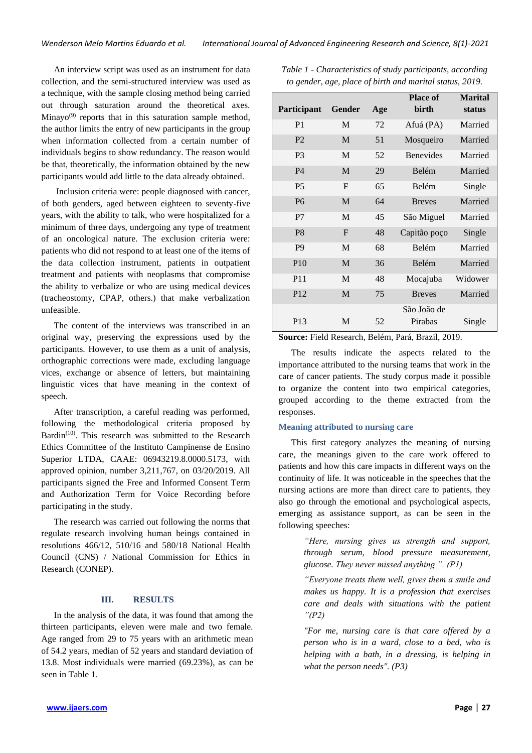An interview script was used as an instrument for data collection, and the semi-structured interview was used as a technique, with the sample closing method being carried out through saturation around the theoretical axes. Minayo $(9)$  reports that in this saturation sample method, the author limits the entry of new participants in the group when information collected from a certain number of individuals begins to show redundancy. The reason would be that, theoretically, the information obtained by the new participants would add little to the data already obtained.

Inclusion criteria were: people diagnosed with cancer, of both genders, aged between eighteen to seventy-five years, with the ability to talk, who were hospitalized for a minimum of three days, undergoing any type of treatment of an oncological nature. The exclusion criteria were: patients who did not respond to at least one of the items of the data collection instrument, patients in outpatient treatment and patients with neoplasms that compromise the ability to verbalize or who are using medical devices (tracheostomy, CPAP, others.) that make verbalization unfeasible.

The content of the interviews was transcribed in an original way, preserving the expressions used by the participants. However, to use them as a unit of analysis, orthographic corrections were made, excluding language vices, exchange or absence of letters, but maintaining linguistic vices that have meaning in the context of speech.

After transcription, a careful reading was performed, following the methodological criteria proposed by Bardin<sup>(10)</sup>. This research was submitted to the Research Ethics Committee of the Instituto Campinense de Ensino Superior LTDA, CAAE: 06943219.8.0000.5173, with approved opinion, number 3,211,767, on 03/20/2019. All participants signed the Free and Informed Consent Term and Authorization Term for Voice Recording before participating in the study.

The research was carried out following the norms that regulate research involving human beings contained in resolutions 466/12, 510/16 and 580/18 National Health Council (CNS) / National Commission for Ethics in Research (CONEP).

#### **III. RESULTS**

In the analysis of the data, it was found that among the thirteen participants, eleven were male and two female. Age ranged from 29 to 75 years with an arithmetic mean of 54.2 years, median of 52 years and standard deviation of 13.8. Most individuals were married (69.23%), as can be seen in Table 1.

| Participant     | Gender       | Age | <b>Place of</b><br>birth | <b>Marital</b><br>status |
|-----------------|--------------|-----|--------------------------|--------------------------|
| P <sub>1</sub>  | M            | 72  | Afuá (PA)                | Married                  |
| P <sub>2</sub>  | M            | 51  | Mosqueiro                | Married                  |
| P <sub>3</sub>  | M            | 52  | <b>Benevides</b>         | Married                  |
| <b>P4</b>       | M            | 29  | Belém                    | Married                  |
| <b>P5</b>       | $\mathbf F$  | 65  | <b>Belém</b>             | Single                   |
| <b>P6</b>       | M            | 64  | <b>Breves</b>            | Married                  |
| P7              | M            | 45  | São Miguel               | Married                  |
| P <sub>8</sub>  | $\mathbf{F}$ | 48  | Capitão poço             | Single                   |
| P <sub>9</sub>  | M            | 68  | Belém                    | Married                  |
| P <sub>10</sub> | M            | 36  | Belém                    | Married                  |
| P <sub>11</sub> | M            | 48  | Mocajuba                 | Widower                  |
| P <sub>12</sub> | M            | 75  | <b>Breves</b>            | Married                  |
| P <sub>13</sub> | M            | 52  | São João de<br>Pirabas   | Single                   |

*Table 1 - Characteristics of study participants, according to gender, age, place of birth and marital status, 2019.*

**Source:** Field Research, Belém, Pará, Brazil, 2019.

The results indicate the aspects related to the importance attributed to the nursing teams that work in the care of cancer patients. The study corpus made it possible to organize the content into two empirical categories, grouped according to the theme extracted from the responses.

#### **Meaning attributed to nursing care**

This first category analyzes the meaning of nursing care, the meanings given to the care work offered to patients and how this care impacts in different ways on the continuity of life. It was noticeable in the speeches that the nursing actions are more than direct care to patients, they also go through the emotional and psychological aspects, emerging as assistance support, as can be seen in the following speeches:

> *"Here, nursing gives us strength and support, through serum, blood pressure measurement, glucose. They never missed anything ". (P1)*

> *"Everyone treats them well, gives them a smile and makes us happy. It is a profession that exercises care and deals with situations with the patient "(P2)*

> *"For me, nursing care is that care offered by a person who is in a ward, close to a bed, who is helping with a bath, in a dressing, is helping in what the person needs". (P3)*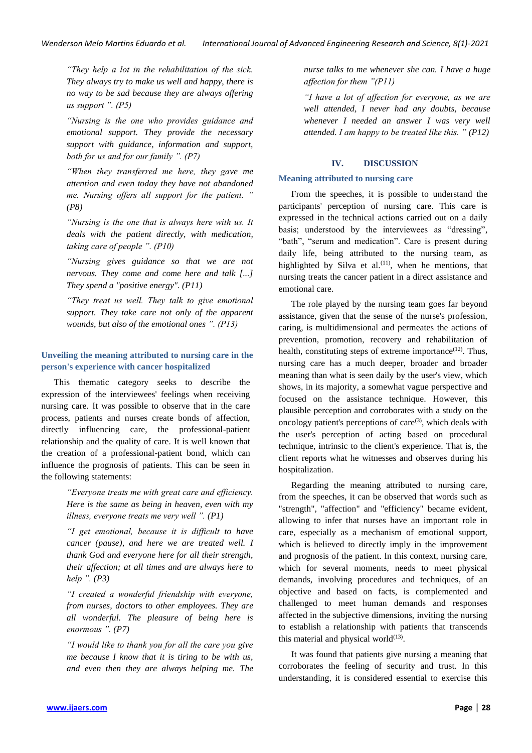*"They help a lot in the rehabilitation of the sick. They always try to make us well and happy, there is no way to be sad because they are always offering us support ". (P5)* 

*"Nursing is the one who provides guidance and emotional support. They provide the necessary support with guidance, information and support, both for us and for our family ". (P7)* 

*"When they transferred me here, they gave me attention and even today they have not abandoned me. Nursing offers all support for the patient. " (P8)* 

*"Nursing is the one that is always here with us. It deals with the patient directly, with medication, taking care of people ". (P10)* 

*"Nursing gives guidance so that we are not nervous. They come and come here and talk [...] They spend a "positive energy". (P11)* 

*"They treat us well. They talk to give emotional support. They take care not only of the apparent wounds, but also of the emotional ones ". (P13)*

## **Unveiling the meaning attributed to nursing care in the person's experience with cancer hospitalized**

This thematic category seeks to describe the expression of the interviewees' feelings when receiving nursing care. It was possible to observe that in the care process, patients and nurses create bonds of affection, directly influencing care, the professional-patient relationship and the quality of care. It is well known that the creation of a professional-patient bond, which can influence the prognosis of patients. This can be seen in the following statements:

> *"Everyone treats me with great care and efficiency. Here is the same as being in heaven, even with my illness, everyone treats me very well ". (P1)*

> *"I get emotional, because it is difficult to have cancer (pause), and here we are treated well. I thank God and everyone here for all their strength, their affection; at all times and are always here to help ". (P3)*

> *"I created a wonderful friendship with everyone, from nurses, doctors to other employees. They are all wonderful. The pleasure of being here is enormous ". (P7)*

> *"I would like to thank you for all the care you give me because I know that it is tiring to be with us, and even then they are always helping me. The*

*nurse talks to me whenever she can. I have a huge affection for them "(P11)* 

*"I have a lot of affection for everyone, as we are well attended, I never had any doubts, because whenever I needed an answer I was very well attended. I am happy to be treated like this. " (P12)*

#### **IV. DISCUSSION**

#### **Meaning attributed to nursing care**

From the speeches, it is possible to understand the participants' perception of nursing care. This care is expressed in the technical actions carried out on a daily basis; understood by the interviewees as "dressing", "bath", "serum and medication". Care is present during daily life, being attributed to the nursing team, as highlighted by Silva et al. $(11)$ , when he mentions, that nursing treats the cancer patient in a direct assistance and emotional care.

The role played by the nursing team goes far beyond assistance, given that the sense of the nurse's profession, caring, is multidimensional and permeates the actions of prevention, promotion, recovery and rehabilitation of health, constituting steps of extreme importance $(12)$ . Thus, nursing care has a much deeper, broader and broader meaning than what is seen daily by the user's view, which shows, in its majority, a somewhat vague perspective and focused on the assistance technique. However, this plausible perception and corroborates with a study on the oncology patient's perceptions of care $(3)$ , which deals with the user's perception of acting based on procedural technique, intrinsic to the client's experience. That is, the client reports what he witnesses and observes during his hospitalization.

Regarding the meaning attributed to nursing care, from the speeches, it can be observed that words such as "strength", "affection" and "efficiency" became evident, allowing to infer that nurses have an important role in care, especially as a mechanism of emotional support, which is believed to directly imply in the improvement and prognosis of the patient. In this context, nursing care, which for several moments, needs to meet physical demands, involving procedures and techniques, of an objective and based on facts, is complemented and challenged to meet human demands and responses affected in the subjective dimensions, inviting the nursing to establish a relationship with patients that transcends this material and physical world $(13)$ .

It was found that patients give nursing a meaning that corroborates the feeling of security and trust. In this understanding, it is considered essential to exercise this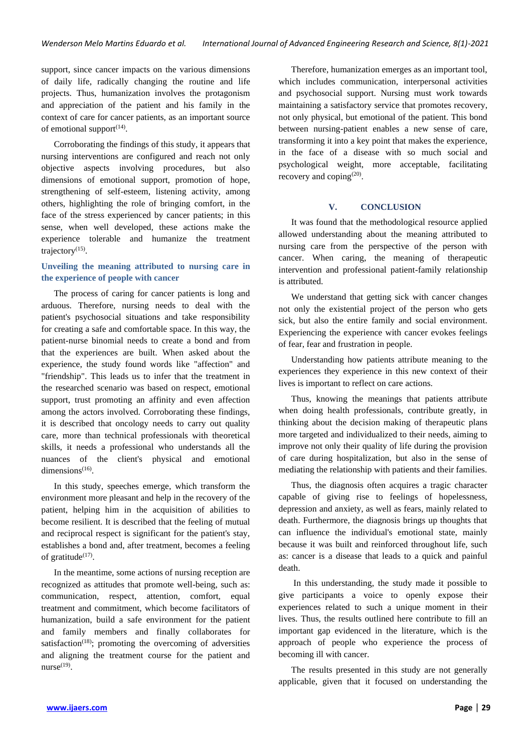support, since cancer impacts on the various dimensions of daily life, radically changing the routine and life projects. Thus, humanization involves the protagonism and appreciation of the patient and his family in the context of care for cancer patients, as an important source of emotional support $(14)$ .

Corroborating the findings of this study, it appears that nursing interventions are configured and reach not only objective aspects involving procedures, but also dimensions of emotional support, promotion of hope, strengthening of self-esteem, listening activity, among others, highlighting the role of bringing comfort, in the face of the stress experienced by cancer patients; in this sense, when well developed, these actions make the experience tolerable and humanize the treatment trajectory<sup>(15)</sup>.

## **Unveiling the meaning attributed to nursing care in the experience of people with cancer**

The process of caring for cancer patients is long and arduous. Therefore, nursing needs to deal with the patient's psychosocial situations and take responsibility for creating a safe and comfortable space. In this way, the patient-nurse binomial needs to create a bond and from that the experiences are built. When asked about the experience, the study found words like "affection" and "friendship". This leads us to infer that the treatment in the researched scenario was based on respect, emotional support, trust promoting an affinity and even affection among the actors involved. Corroborating these findings, it is described that oncology needs to carry out quality care, more than technical professionals with theoretical skills, it needs a professional who understands all the nuances of the client's physical and emotional dimensions $(16)$ .

In this study, speeches emerge, which transform the environment more pleasant and help in the recovery of the patient, helping him in the acquisition of abilities to become resilient. It is described that the feeling of mutual and reciprocal respect is significant for the patient's stay, establishes a bond and, after treatment, becomes a feeling of gratitude $^{(17)}$ .

In the meantime, some actions of nursing reception are recognized as attitudes that promote well-being, such as: communication, respect, attention, comfort, equal treatment and commitment, which become facilitators of humanization, build a safe environment for the patient and family members and finally collaborates for satisfaction<sup> $(18)$ </sup>; promoting the overcoming of adversities and aligning the treatment course for the patient and nurse $^{(19)}$ .

Therefore, humanization emerges as an important tool, which includes communication, interpersonal activities and psychosocial support. Nursing must work towards maintaining a satisfactory service that promotes recovery, not only physical, but emotional of the patient. This bond between nursing-patient enables a new sense of care, transforming it into a key point that makes the experience, in the face of a disease with so much social and psychological weight, more acceptable, facilitating recovery and coping $^{(20)}$ .

#### **V. CONCLUSION**

It was found that the methodological resource applied allowed understanding about the meaning attributed to nursing care from the perspective of the person with cancer. When caring, the meaning of therapeutic intervention and professional patient-family relationship is attributed.

We understand that getting sick with cancer changes not only the existential project of the person who gets sick, but also the entire family and social environment. Experiencing the experience with cancer evokes feelings of fear, fear and frustration in people.

Understanding how patients attribute meaning to the experiences they experience in this new context of their lives is important to reflect on care actions.

Thus, knowing the meanings that patients attribute when doing health professionals, contribute greatly, in thinking about the decision making of therapeutic plans more targeted and individualized to their needs, aiming to improve not only their quality of life during the provision of care during hospitalization, but also in the sense of mediating the relationship with patients and their families.

Thus, the diagnosis often acquires a tragic character capable of giving rise to feelings of hopelessness, depression and anxiety, as well as fears, mainly related to death. Furthermore, the diagnosis brings up thoughts that can influence the individual's emotional state, mainly because it was built and reinforced throughout life, such as: cancer is a disease that leads to a quick and painful death.

In this understanding, the study made it possible to give participants a voice to openly expose their experiences related to such a unique moment in their lives. Thus, the results outlined here contribute to fill an important gap evidenced in the literature, which is the approach of people who experience the process of becoming ill with cancer.

The results presented in this study are not generally applicable, given that it focused on understanding the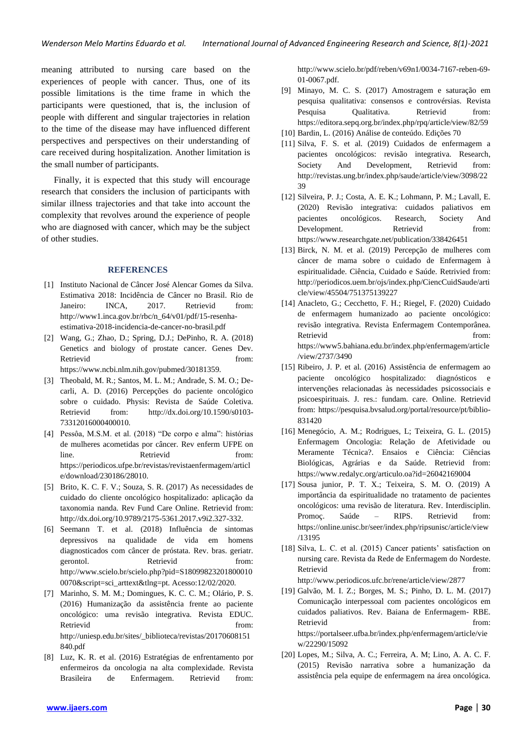meaning attributed to nursing care based on the experiences of people with cancer. Thus, one of its possible limitations is the time frame in which the participants were questioned, that is, the inclusion of people with different and singular trajectories in relation to the time of the disease may have influenced different perspectives and perspectives on their understanding of care received during hospitalization. Another limitation is the small number of participants.

Finally, it is expected that this study will encourage research that considers the inclusion of participants with similar illness trajectories and that take into account the complexity that revolves around the experience of people who are diagnosed with cancer, which may be the subject of other studies.

### **REFERENCES**

- [1] Instituto Nacional de Câncer José Alencar Gomes da Silva. Estimativa 2018: Incidência de Câncer no Brasil. Rio de Janeiro: INCA, 2017. Retrievid from: http://www1.inca.gov.br/rbc/n\_64/v01/pdf/15-resenhaestimativa-2018-incidencia-de-cancer-no-brasil.pdf
- [2] Wang, G.; Zhao, D.; Spring, D.J.; DePinho, R. A. (2018) Genetics and biology of prostate cancer. Genes Dev. Retrievid from: https://www.ncbi.nlm.nih.gov/pubmed/30181359.
- [3] Theobald, M. R.; Santos, M. L. M.; Andrade, S. M. O.; Decarli, A. D. (2016) Percepções do paciente oncológico sobre o cuidado. Physis: Revista de Saúde Coletiva. Retrievid from: http://dx.doi.org/10.1590/s0103- 73312016000400010.
- [4] Pessôa, M.S.M. et al. (2018) "De corpo e alma": histórias de mulheres acometidas por câncer. Rev enferm UFPE on line. Retrievid from: https://periodicos.ufpe.br/revistas/revistaenfermagem/articl e/download/230186/28010.
- [5] Brito, K. C. F. V.; Souza, S. R. (2017) As necessidades de cuidado do cliente oncológico hospitalizado: aplicação da taxonomia nanda. Rev Fund Care Online. Retrievid from: http://dx.doi.org/10.9789/2175-5361.2017.v9i2.327-332.
- [6] Seemann T. et al. (2018) Influência de sintomas depressivos na qualidade de vida em homens diagnosticados com câncer de próstata. Rev. bras. geriatr. gerontol. Retrievid from: http://www.scielo.br/scielo.php?pid=S18099823201800010 0070&script=sci\_arttext&tlng=pt. Acesso:12/02/2020.
- [7] Marinho, S. M. M.; Domingues, K. C. C. M.; Olário, P. S. (2016) Humanização da assistência frente ao paciente oncológico: uma revisão integrativa. Revista EDUC. Retrievid from: http://uniesp.edu.br/sites/\_biblioteca/revistas/20170608151 840.pdf
- [8] Luz, K. R. et al. (2016) Estratégias de enfrentamento por enfermeiros da oncologia na alta complexidade. Revista Brasileira de Enfermagem. Retrievid from:

http://www.scielo.br/pdf/reben/v69n1/0034-7167-reben-69- 01-0067.pdf.

- [9] Minayo, M. C. S. (2017) Amostragem e saturação em pesquisa qualitativa: consensos e controvérsias. Revista Pesquisa Qualitativa. Retrievid from: https://editora.sepq.org.br/index.php/rpq/article/view/82/59
- [10] Bardin, L. (2016) Análise de conteúdo. Edições 70
- [11] Silva, F. S. et al. (2019) Cuidados de enfermagem a pacientes oncológicos: revisão integrativa. Research, Society And Development, Retrievid from: http://revistas.ung.br/index.php/saude/article/view/3098/22 39
- [12] Silveira, P. J.; Costa, A. E. K.; Lohmann, P. M.; Lavall, E. (2020) Revisão integrativa: cuidados paliativos em pacientes oncológicos. Research, Society And Development. Retrievid from: https://www.researchgate.net/publication/338426451
- [13] Birck, N. M. et al. (2019) Percepção de mulheres com câncer de mama sobre o cuidado de Enfermagem à espiritualidade. Ciência, Cuidado e Saúde. Retrivied from: http://periodicos.uem.br/ojs/index.php/CiencCuidSaude/arti cle/view/45504/751375139227
- [14] Anacleto, G.; Cecchetto, F. H.; Riegel, F. (2020) Cuidado de enfermagem humanizado ao paciente oncológico: revisão integrativa. Revista Enfermagem Contemporânea. Retrievid from: https://www5.bahiana.edu.br/index.php/enfermagem/article /view/2737/3490
- [15] Ribeiro, J. P. et al. (2016) Assistência de enfermagem ao paciente oncológico hospitalizado: diagnósticos e intervenções relacionadas às necessidades psicossociais e psicoespirituais. J. res.: fundam. care. Online. Retrievid from: https://pesquisa.bvsalud.org/portal/resource/pt/biblio-831420
- [16] Menegócio, A. M.; Rodrigues, L; Teixeira, G. L. (2015) Enfermagem Oncologia: Relação de Afetividade ou Meramente Técnica?. Ensaios e Ciência: Ciências Biológicas, Agrárias e da Saúde. Retrievid from: https://www.redalyc.org/articulo.oa?id=26042169004
- [17] Sousa junior, P. T. X.; Teixeira, S. M. O. (2019) A importância da espiritualidade no tratamento de pacientes oncológicos: uma revisão de literatura. Rev. Interdisciplin. Promoç. Saúde – RIPS. Retrievid from: https://online.unisc.br/seer/index.php/ripsunisc/article/view /13195
- [18] Silva, L. C. et al. (2015) Cancer patients' satisfaction on nursing care. Revista da Rede de Enfermagem do Nordeste. Retrievid from: http://www.periodicos.ufc.br/rene/article/view/2877
- [19] Galvão, M. I. Z.; Borges, M. S.; Pinho, D. L. M. (2017) Comunicação interpessoal com pacientes oncológicos em cuidados paliativos. Rev. Baiana de Enfermagem- RBE. Retrievid from: https://portalseer.ufba.br/index.php/enfermagem/article/vie w/22290/15092
- [20] Lopes, M.; Silva, A. C.; Ferreira, A. M; Lino, A. A. C. F. (2015) Revisão narrativa sobre a humanização da assistência pela equipe de enfermagem na área oncológica.